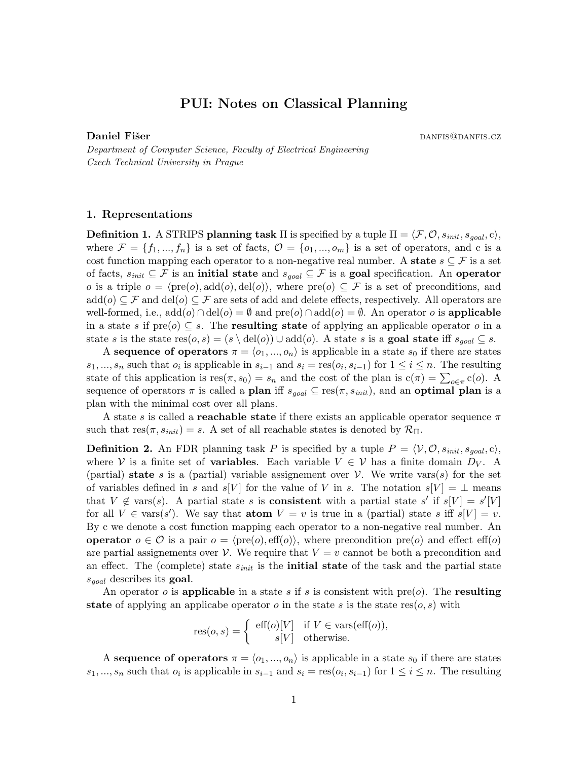# PUI: Notes on Classical Planning

Daniel Fišer dans dans dans dans dan die eerste gebruik van die beste gewone van die beste gewone van die beste

Department of Computer Science, Faculty of Electrical Engineering Czech Technical University in Prague

## 1. Representations

**Definition 1.** A STRIPS planning task  $\Pi$  is specified by a tuple  $\Pi = \langle F, O, s_{init}, s_{goal}, c \rangle$ , where  $\mathcal{F} = \{f_1, ..., f_n\}$  is a set of facts,  $\mathcal{O} = \{o_1, ..., o_m\}$  is a set of operators, and c is a cost function mapping each operator to a non-negative real number. A state  $s \subseteq \mathcal{F}$  is a set of facts,  $s_{init} \subseteq \mathcal{F}$  is an initial state and  $s_{goal} \subseteq \mathcal{F}$  is a goal specification. An operator o is a triple  $o = \langle \text{pre}(o), \text{add}(o), \text{del}(o) \rangle$ , where  $\text{pre}(o) \subseteq \mathcal{F}$  is a set of preconditions, and  $\text{add}(o) \subseteq \mathcal{F}$  and  $\text{del}(o) \subseteq \mathcal{F}$  are sets of add and delete effects, respectively. All operators are well-formed, i.e.,  $add(o) \cap del(o) = \emptyset$  and  $pre(o) \cap add(o) = \emptyset$ . An operator o is **applicable** in a state s if  $pre(o) \subseteq s$ . The **resulting state** of applying an applicable operator o in a state s is the state res $(o, s) = (s \ \del{del}(o)) \cup \del{ad}(o)$ . A state s is a goal state iff  $s_{goal} \subseteq s$ .

A sequence of operators  $\pi = \langle o_1, ..., o_n \rangle$  is applicable in a state  $s_0$  if there are states  $s_1, ..., s_n$  such that  $o_i$  is applicable in  $s_{i-1}$  and  $s_i = \text{res}(o_i, s_{i-1})$  for  $1 \le i \le n$ . The resulting state of this application is  $res(\pi, s_0) = s_n$  and the cost of the plan is  $c(\pi) = \sum_{o \in \pi} c(o)$ . A sequence of operators  $\pi$  is called a **plan** iff  $s_{goal} \subseteq \text{res}(\pi, s_{init})$ , and an **optimal plan** is a plan with the minimal cost over all plans.

A state s is called a **reachable state** if there exists an applicable operator sequence  $\pi$ such that  $res(\pi, s_{init}) = s$ . A set of all reachable states is denoted by  $\mathcal{R}_{\Pi}$ .

**Definition 2.** An FDR planning task P is specified by a tuple  $P = \langle V, O, s_{init}, s_{goal}, c \rangle$ , where V is a finite set of **variables**. Each variable  $V \in V$  has a finite domain  $D_V$ . A (partial) state s is a (partial) variable assignement over  $\mathcal V$ . We write vars(s) for the set of variables defined in s and s[V] for the value of V in s. The notation s[V] =  $\perp$  means that  $V \notin \text{vars}(s)$ . A partial state s is **consistent** with a partial state s' if  $s[V] = s'[V]$ for all  $V \in \text{vars}(s')$ . We say that **atom**  $V = v$  is true in a (partial) state s iff  $s[V] = v$ . By c we denote a cost function mapping each operator to a non-negative real number. An operator  $o \in \mathcal{O}$  is a pair  $o = \langle \text{pre}(o), \text{eff}(o) \rangle$ , where precondition  $\text{pre}(o)$  and effect eff(*o*) are partial assignements over V. We require that  $V = v$  cannot be both a precondition and an effect. The (complete) state  $s_{init}$  is the **initial state** of the task and the partial state  $s_{goal}$  describes its goal.

An operator o is applicable in a state s if s is consistent with  $pre(o)$ . The resulting state of applying an applicabe operator o in the state s is the state res $(o, s)$  with

$$
res(o, s) = \begin{cases} \text{eff}(o)[V] & \text{if } V \in \text{vars}(\text{eff}(o)), \\ s[V] & \text{otherwise.} \end{cases}
$$

A sequence of operators  $\pi = \langle o_1, ..., o_n \rangle$  is applicable in a state  $s_0$  if there are states  $s_1, ..., s_n$  such that  $o_i$  is applicable in  $s_{i-1}$  and  $s_i = \text{res}(o_i, s_{i-1})$  for  $1 \le i \le n$ . The resulting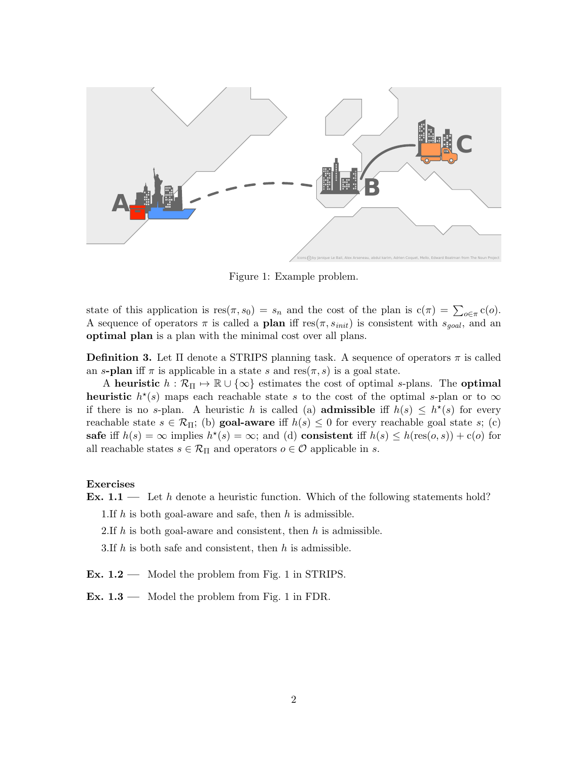

Figure 1: Example problem.

state of this application is  $res(\pi, s_0) = s_n$  and the cost of the plan is  $c(\pi) = \sum_{o \in \pi} c(o)$ . A sequence of operators  $\pi$  is called a **plan** iff res $(\pi, s_{init})$  is consistent with  $s_{goal}$ , and an optimal plan is a plan with the minimal cost over all plans.

**Definition 3.** Let  $\Pi$  denote a STRIPS planning task. A sequence of operators  $\pi$  is called an s-plan iff  $\pi$  is applicable in a state s and res $(\pi, s)$  is a goal state.

A heuristic  $h : \mathcal{R}_{\Pi} \to \mathbb{R} \cup {\infty}$  estimates the cost of optimal s-plans. The optimal heuristic  $h^*(s)$  maps each reachable state s to the cost of the optimal s-plan or to  $\infty$ if there is no s-plan. A heuristic h is called (a) **admissible** if  $h(s) \leq h^*(s)$  for every reachable state  $s \in \mathcal{R}_{\Pi}$ ; (b) goal-aware iff  $h(s) \leq 0$  for every reachable goal state s; (c) safe if  $h(s) = \infty$  implies  $h^*(s) = \infty$ ; and (d) consistent iff  $h(s) \leq h(\text{res}(o, s)) + c(o)$  for all reachable states  $s \in \mathcal{R}_{\Pi}$  and operators  $o \in \mathcal{O}$  applicable in s.

#### Exercises

**Ex.** 1.1 — Let h denote a heuristic function. Which of the following statements hold?

1.If h is both goal-aware and safe, then h is admissible.

2.If  $h$  is both goal-aware and consistent, then  $h$  is admissible.

3.If  $h$  is both safe and consistent, then  $h$  is admissible.

Ex. 1.2 — Model the problem from Fig. 1 in STRIPS.

Ex.  $1.3$  — Model the problem from Fig. 1 in FDR.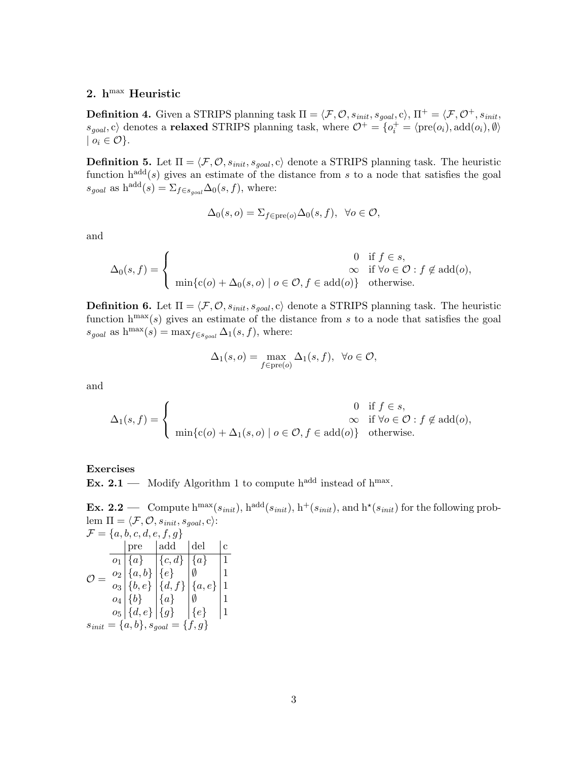# 2.  $h^{max}$  Heuristic

**Definition 4.** Given a STRIPS planning task  $\Pi = \langle \mathcal{F}, \mathcal{O}, s_{\text{init}}, s_{\text{goal}}, c \rangle$ ,  $\Pi^+ = \langle \mathcal{F}, \mathcal{O}^+, s_{\text{init}}$ ,  $s_{goal}, c$  denotes a **relaxed** STRIPS planning task, where  $\mathcal{O}^+ = \{o_i^+ = \langle \text{pre}(o_i), \text{add}(o_i), \emptyset \rangle\}$  $| o_i \in \mathcal{O} \}.$ 

**Definition 5.** Let  $\Pi = \langle \mathcal{F}, \mathcal{O}, s_{\text{init}}, s_{\text{goal}}, c \rangle$  denote a STRIPS planning task. The heuristic function  $h^{add}(s)$  gives an estimate of the distance from s to a node that satisfies the goal  $s_{goal}$  as  $h^{add}(s) = \sum_{f \in s_{goal}} \Delta_0(s, f)$ , where:

$$
\Delta_0(s, o) = \sum_{f \in \text{pre}(o)} \Delta_0(s, f), \ \ \forall o \in \mathcal{O},
$$

and

$$
\Delta_0(s, f) = \begin{cases}\n0 & \text{if } f \in s, \\
\infty & \text{if } \forall o \in \mathcal{O} : f \notin \text{add}(o), \\
\min\{c(o) + \Delta_0(s, o) \mid o \in \mathcal{O}, f \in \text{add}(o)\} & \text{otherwise.}\n\end{cases}
$$

**Definition 6.** Let  $\Pi = \langle \mathcal{F}, \mathcal{O}, s_{\text{init}}, s_{\text{goal}}, c \rangle$  denote a STRIPS planning task. The heuristic function  $h^{max}(s)$  gives an estimate of the distance from s to a node that satisfies the goal  $s_{goal}$  as  $h^{max}(s) = max_{f \in s_{goal}} \Delta_1(s, f)$ , where:

$$
\Delta_1(s, o) = \max_{f \in \text{pre}(o)} \Delta_1(s, f), \ \ \forall o \in \mathcal{O},
$$

and

$$
\Delta_1(s, f) = \begin{cases}\n0 & \text{if } f \in s, \\
\infty & \text{if } \forall o \in \mathcal{O} : f \notin \text{add}(o), \\
\min\{c(o) + \Delta_1(s, o) \mid o \in \mathcal{O}, f \in \text{add}(o)\} & \text{otherwise.}\n\end{cases}
$$

### Exercises

**Ex. 2.1** — Modify Algorithm 1 to compute h<sup>add</sup> instead of h<sup>max</sup>.

**Ex. 2.2** — Compute  $h^{max}(s_{init})$ ,  $h^{add}(s_{init})$ ,  $h^{+}(s_{init})$ , and  $h^{*}(s_{init})$  for the following problem  $\Pi = \langle \mathcal{F}, \mathcal{O}, s_{\text{init}}, s_{\text{goal}}, c \rangle$ :  $\mathcal{F} = \{a, b, c, d, e, f, g\}$  $\mathcal{O}=% \begin{bmatrix} 1\,, & -1\,. \end{bmatrix}$ pre  $|$ add  $|$ del  $|$ c  $o_1 \hspace{.08cm} | \hspace{.08cm} \{a\} \hspace{.2cm} | \hspace{.08cm} \{c,d\} \hspace{.08cm} | \hspace{.08cm} \{a\} \hspace{.2cm} | \hspace{.08cm} 1$  $o_2 \begin{vmatrix} \{a, b\} \end{vmatrix} \begin{vmatrix} \{e\} & \emptyset & \end{vmatrix}$  1  $\big\vert \rho_3 \big\vert \, \{ b, e \} \, \big\vert \, \{ d, f \} \, \big\vert \, \{ a, e \} \, \big\vert \, 1$  $o_4 \hspace{0.03cm} | \hspace{0.03cm} \{ b \} \hspace{0.2cm} | \hspace{0.1cm} \{ a \} \hspace{0.2cm} | \hspace{0.1cm} \emptyset \hspace{0.2cm} | \hspace{0.1cm} 1$  $o_5 \mid \{d, e\} \mid \{g\} \mid \{e\} \mid 1$  $s_{init} = \{a, b\}, s_{goal} = \{f, g\}$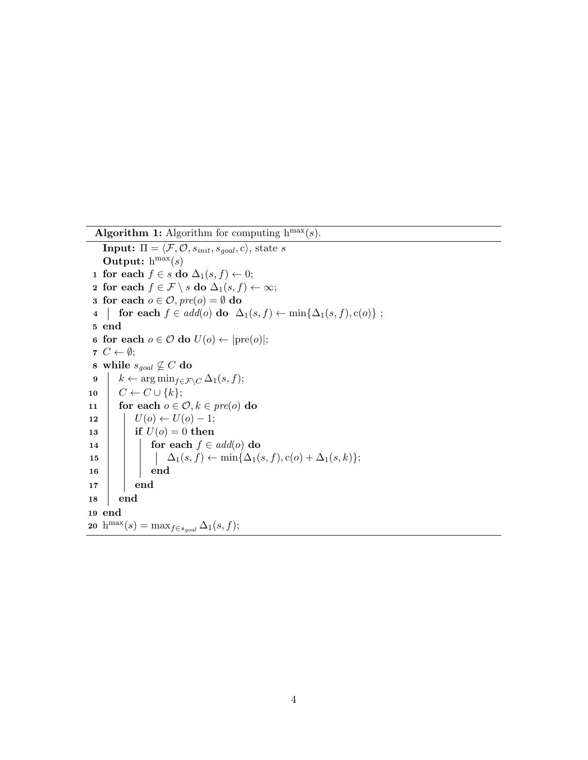Algorithm 1: Algorithm for computing  $h^{max}(s)$ . **Input:**  $\Pi = \langle \mathcal{F}, \mathcal{O}, s_{init}, s_{goal}, c \rangle$ , state s Output:  $h^{max}(s)$ 1 for each  $f \in s$  do  $\Delta_1(s, f) \leftarrow 0;$ 2 for each  $f \in \mathcal{F} \setminus s$  do  $\Delta_1(s, f) \leftarrow \infty;$ 3 for each  $o \in \mathcal{O}$ ,  $pre(o) = \emptyset$  do 4 for each  $f \in add(o)$  do  $\Delta_1(s, f) \leftarrow \min\{\Delta_1(s, f), c(o)\};$ 5 end 6 for each  $o \in \mathcal{O}$  do  $U(o) \leftarrow |pre(o)|$ ; 7  $C \leftarrow \emptyset;$ 8 while  $s_{goal} \nsubseteq C$  do 9  $k \leftarrow \arg \min_{f \in \mathcal{F} \setminus C} \Delta_1(s, f);$ 10  $\mid C \leftarrow C \cup \{k\};$ 11 for each  $o \in \mathcal{O}, k \in \text{pre}(o)$  do 12 |  $U(o) \leftarrow U(o) - 1;$ 13 **if**  $U(o) = 0$  then 14 **for each**  $f \in add(o)$  do 15  $\Box$   $\Box$   $\Delta_1(s, f) \leftarrow \min{\Delta_1(s, f), c(o) + \Delta_1(s, k)};$ 16 | | end  $17$  end 18 end 19 end 20 h<sup>max</sup>(s) = max<sub>f∈sgoal</sub>  $\Delta_1(s, f)$ ;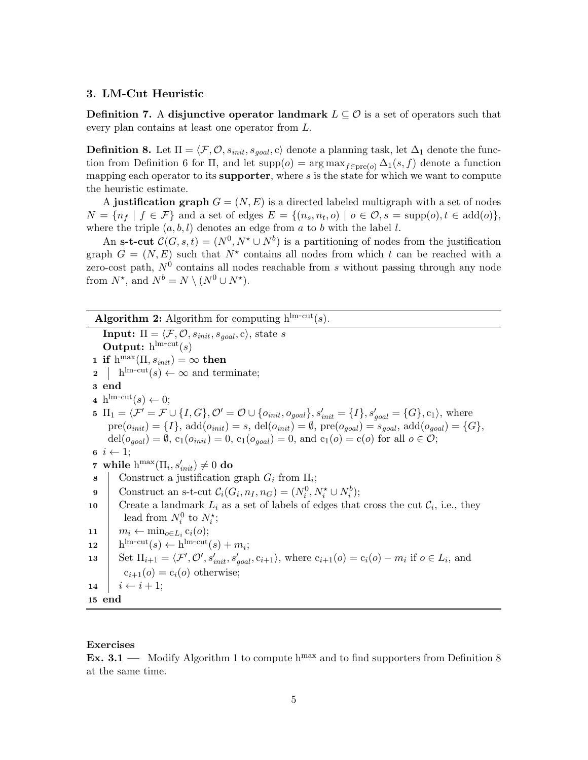# 3. LM-Cut Heuristic

**Definition 7.** A disjunctive operator landmark  $L \subseteq \mathcal{O}$  is a set of operators such that every plan contains at least one operator from L.

**Definition 8.** Let  $\Pi = \langle \mathcal{F}, \mathcal{O}, s_{init}, s_{goal}, c \rangle$  denote a planning task, let  $\Delta_1$  denote the function from Definition 6 for  $\Pi$ , and let supp $(o) = \arg \max_{f \in \text{pre}(o)} \Delta_1(s, f)$  denote a function mapping each operator to its supporter, where  $s$  is the state for which we want to compute the heuristic estimate.

A justification graph  $G = (N, E)$  is a directed labeled multigraph with a set of nodes  $N = \{n_f | f \in \mathcal{F}\}\$ and a set of edges  $E = \{(n_s, n_t, o) | o \in \mathcal{O}, s = \text{supp}(o), t \in \text{add}(o)\}\$ where the triple  $(a, b, l)$  denotes an edge from a to b with the label l.

An s-t-cut  $\mathcal{C}(G, s, t) = (N^0, N^* \cup N^b)$  is a partitioning of nodes from the justification graph  $G = (N, E)$  such that  $N^*$  contains all nodes from which t can be reached with a zero-cost path,  $N^0$  contains all nodes reachable from s without passing through any node from  $N^*$ , and  $N^b = N \setminus (N^0 \cup N^*)$ .

Algorithm 2: Algorithm for computing  $h^{lm-cut}(s)$ . **Input:**  $\Pi = \langle \mathcal{F}, \mathcal{O}, s_{init}, s_{goal}, c \rangle$ , state s Output:  $h^{\text{lm-cut}}(s)$ 1 if  $h^{\max}(\Pi, s_{init}) = \infty$  then  $\mathbf{a} \quad | \quad \text{h}^{\text{lm-cut}}(s) \leftarrow \infty \text{ and terminate};$ 3 end 4 h<sup>lm-cut</sup> $(s) \leftarrow 0;$ 5  $\Pi_1 = \langle \mathcal{F}' = \mathcal{F} \cup \{I, G\}, \mathcal{O}' = \mathcal{O} \cup \{o_{init}, o_{goal}\}, s'_{init} = \{I\}, s'_{goal} = \{G\}, c_1 \rangle$ , where  $pre(o_{init}) = \{I\}, add(o_{init}) = s, del(o_{init}) = \emptyset, pre(o_{goal}) = s_{goal}, add(o_{goal}) = \{G\},\$  $del(o_{goal}) = \emptyset$ ,  $c_1(o_{init}) = 0$ ,  $c_1(o_{goal}) = 0$ , and  $c_1(o) = c(o)$  for all  $o \in \mathcal{O}$ ; 6  $i \leftarrow 1$ ; 7 while  $\mathrm{h}^{\max}(\Pi_i, s'_{init}) \neq 0$  do 8 Construct a justification graph  $G_i$  from  $\Pi_i$ ; 9 Construct an s-t-cut  $\mathcal{C}_i(G_i, n_I, n_G) = (N_i^0, N_i^* \cup N_i^b);$ 10 Create a landmark  $L_i$  as a set of labels of edges that cross the cut  $\mathcal{C}_i$ , i.e., they lead from  $N_i^0$  to  $N_i^*$ ; 11  $m_i \leftarrow \min_{o \in L_i} c_i(o);$ **12**  $\lim$ -cut $(s) \leftarrow \lim$ -cut $(s) + m_i$ ; 13 Set  $\Pi_{i+1} = \langle \mathcal{F}', \mathcal{O}', s'_{init}, s'_{goal}, c_{i+1} \rangle$ , where  $c_{i+1}(o) = c_i(o) - m_i$  if  $o \in L_i$ , and  $c_{i+1}(o) = c_i(o)$  otherwise; 14  $i \leftarrow i + 1$ ; 15 end

## Exercises

**Ex. 3.1** — Modify Algorithm 1 to compute  $h^{max}$  and to find supporters from Definition 8 at the same time.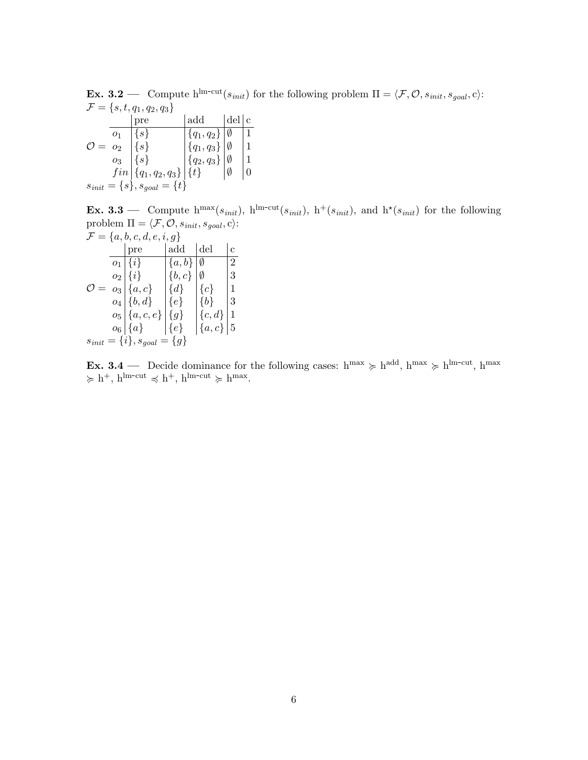**Ex.** 3.2 — Compute  $h^{lm-cut}(s_{init})$  for the following problem  $\Pi = \langle \mathcal{F}, \mathcal{O}, s_{init}, s_{goal}, c \rangle$ :  $\mathcal{F} = \{s, t, q_1, q_2, q_3\}$ 

|                                      |       | pre                         | $\text{add}$             | del c |  |  |  |
|--------------------------------------|-------|-----------------------------|--------------------------|-------|--|--|--|
|                                      | 01    | $\{s\}$                     | $\{q_1, q_2\}$   Ø       |       |  |  |  |
| $\mathcal{O} = o_2$                  |       | $\{s\}$                     | ${q_1, q_3}$ $\emptyset$ |       |  |  |  |
|                                      | $O_3$ | $\{s\}$                     | ${q_2,q_3}$ $\emptyset$  |       |  |  |  |
|                                      |       | $fin   {q_1,q_2,q_3}   {t}$ |                          | Ø     |  |  |  |
| $s_{init} = \{s\}, s_{goal} = \{t\}$ |       |                             |                          |       |  |  |  |

**Ex. 3.3** — Compute  $h^{max}(s_{init})$ ,  $h^{lm-cut}(s_{init})$ ,  $h^{+}(s_{init})$ , and  $h^{*}(s_{init})$  for the following problem  $\Pi = \langle \mathcal{F}, \mathcal{O}, s_{\text{init}}, s_{\text{goal}}, c \rangle$ :

| $\mathcal{F} = \{a, b, c, d, e, i, g\}$ |  |                     |           |            |                |  |
|-----------------------------------------|--|---------------------|-----------|------------|----------------|--|
|                                         |  | pre                 | add       | del        | $\overline{c}$ |  |
|                                         |  | $o_1   \{i\}$       | $\{a,b\}$ | Ø          | 2              |  |
|                                         |  | $o_2   \{i\}$       | $\{b,c\}$ | Ø          | 3              |  |
| $=$                                     |  | $o_3   \{a, c\}$    | $\{d\}$   | ${c}$      | 1              |  |
|                                         |  | $o_4   \{b, d\}$    | $\{e\}$   | ${b}$      | 3              |  |
|                                         |  | $o_5   \{a, c, e\}$ | $\{g\}$   | $\{c,d\}$  | 1              |  |
|                                         |  | $o_6 \,   \, \{a\}$ | $\{e\}$   | $\{a, c\}$ | $\overline{5}$ |  |
| $s_{init} = \{i\}, s_{goal} = \{g\}$    |  |                     |           |            |                |  |

**Ex. 3.4** — Decide dominance for the following cases:  $h^{max} \ge h^{add}$ ,  $h^{max} \ge h^{lm-cut}$ ,  $h^{max}$  $\succcurlyeq h^+, h^{lm-cut} \preccurlyeq h^+, h^{lm-cut} \succcurlyeq h^{max}.$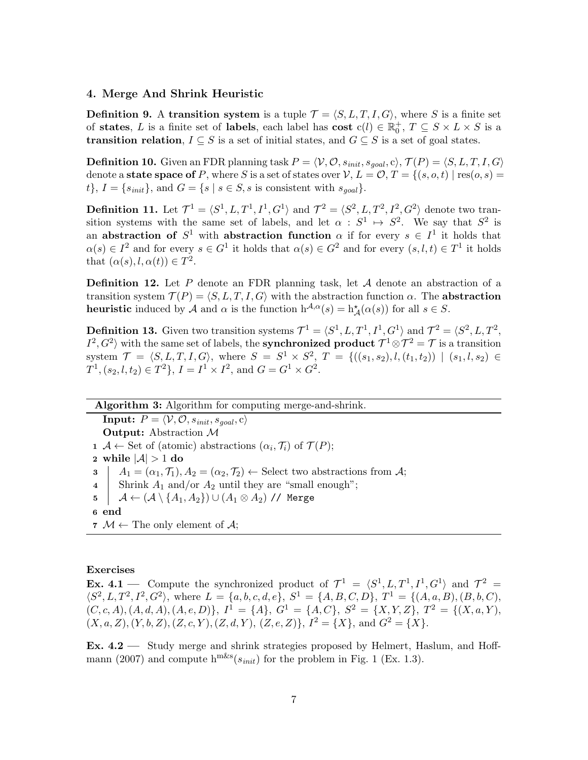## 4. Merge And Shrink Heuristic

**Definition 9.** A transition system is a tuple  $\mathcal{T} = \langle S, L, T, I, G \rangle$ , where S is a finite set of states, L is a finite set of labels, each label has cost  $c(l) \in \mathbb{R}_0^+$ ,  $T \subseteq S \times L \times S$  is a **transition relation**,  $I \subseteq S$  is a set of initial states, and  $G \subseteq S$  is a set of goal states.

**Definition 10.** Given an FDR planning task  $P = \langle V, O, s_{init}, s_{goal}, c \rangle$ ,  $\mathcal{T}(P) = \langle S, L, T, I, G \rangle$ denote a **state space of** P, where S is a set of states over  $V, L = \mathcal{O}, T = \{(s, o, t) | \text{res}(o, s) =$  $t\}, I = \{s_{init}\}, \text{ and } G = \{s \mid s \in S, s \text{ is consistent with } s_{goal}\}.$ 

**Definition 11.** Let  $\mathcal{T}^1 = \langle S^1, L, T^1, I^1, G^1 \rangle$  and  $\mathcal{T}^2 = \langle S^2, L, T^2, I^2, G^2 \rangle$  denote two transition systems with the same set of labels, and let  $\alpha : S^1 \mapsto S^2$ . We say that  $S^2$  is an abstraction of  $S^1$  with abstraction function  $\alpha$  if for every  $s \in I^1$  it holds that  $\alpha(s) \in I^2$  and for every  $s \in G^1$  it holds that  $\alpha(s) \in G^2$  and for every  $(s, l, t) \in T^1$  it holds that  $(\alpha(s), l, \alpha(t)) \in T^2$ .

**Definition 12.** Let P denote an FDR planning task, let  $A$  denote an abstraction of a transition system  $\mathcal{T}(P) = \langle S, L, T, I, G \rangle$  with the abstraction function  $\alpha$ . The abstraction **heuristic** induced by A and  $\alpha$  is the function  $h^{\mathcal{A}, \alpha}(s) = h^{\star}_{\mathcal{A}}(\alpha(s))$  for all  $s \in S$ .

**Definition 13.** Given two transition systems  $\mathcal{T}^1 = \langle S^1, L, T^1, I^1, G^1 \rangle$  and  $\mathcal{T}^2 = \langle S^2, L, T^2,$  $I^2, G^2$  with the same set of labels, the **synchronized product**  $\mathcal{T}^1 \otimes \mathcal{T}^2 = \mathcal{T}$  is a transition system  $\mathcal{T} = \langle S, L, T, I, G \rangle$ , where  $S = S^1 \times S^2$ ,  $T = \{((s_1, s_2), l, (t_1, t_2)) | (s_1, l, s_2) \in$  $T^1$ ,  $(s_2, l, t_2) \in T^2$ ,  $I = I^1 \times I^2$ , and  $G = G^1 \times G^2$ .

Algorithm 3: Algorithm for computing merge-and-shrink.

**Input:**  $P = \langle V, \mathcal{O}, s_{init}, s_{goal}, c \rangle$ Output: Abstraction M  $\mathbf{1}$  A  $\leftarrow$  Set of (atomic) abstractions  $(\alpha_i, \mathcal{T}_i)$  of  $\mathcal{T}(P)$ ; 2 while  $|\mathcal{A}| > 1$  do  $3 \mid A_1 = (\alpha_1, \mathcal{T}_1), A_2 = (\alpha_2, \mathcal{T}_2) \leftarrow$  Select two abstractions from A; 4 Shrink  $A_1$  and/or  $A_2$  until they are "small enough"; 5  $A \leftarrow (A \setminus \{A_1, A_2\}) \cup (A_1 \otimes A_2)$  // Merge 6 end 7  $M \leftarrow$  The only element of A;

#### Exercises

**Ex. 4.1** – Compute the synchronized product of  $\mathcal{T}^1 = \langle S^1, L, T^1, I^1, G^1 \rangle$  and  $\mathcal{T}^2 =$  $\langle S^2, L, T^2, I^2, G^2 \rangle$ , where  $L = \{a, b, c, d, e\}$ ,  $S^1 = \{A, B, C, D\}$ ,  $T^1 = \{(A, a, B), (B, b, C),$  $(C, c, A), (A, d, A), (A, e, D) \}, I<sup>1</sup> = \{A\}, G<sup>1</sup> = \{A, C\}, S<sup>2</sup> = \{X, Y, Z\}, T<sup>2</sup> = \{(X, a, Y),$  $(X, a, Z), (Y, b, Z), (Z, c, Y), (Z, d, Y), (Z, e, Z) \}, I<sup>2</sup> = \{X\}, \text{ and } G<sup>2</sup> = \{X\}.$ 

Ex. 4.2 — Study merge and shrink strategies proposed by Helmert, Haslum, and Hoffmann (2007) and compute  $h^{mks}(s_{init})$  for the problem in Fig. 1 (Ex. 1.3).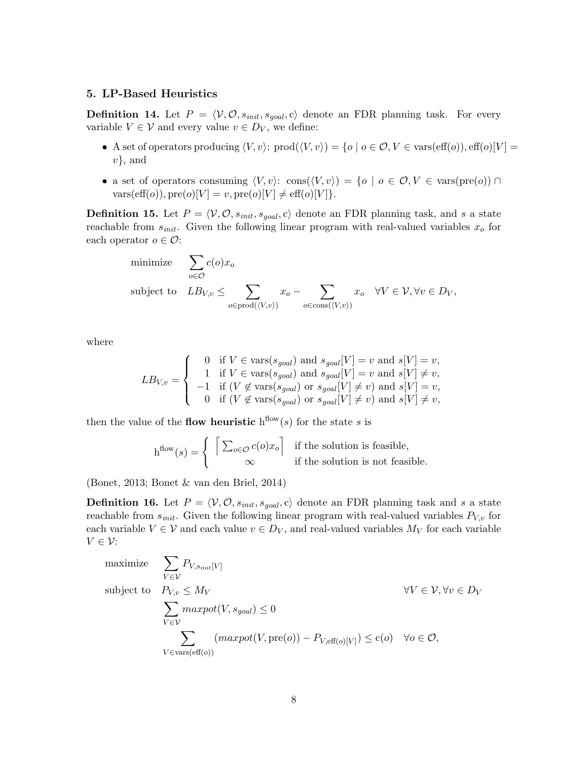# 5. LP-Based Heuristics

**Definition 14.** Let  $P = \langle V, \mathcal{O}, s_{init}, s_{goal}, c \rangle$  denote an FDR planning task. For every variable  $V \in \mathcal{V}$  and every value  $v \in D_V$ , we define:

- A set of operators producing  $\langle V, v \rangle$ :  $\text{prod}(\langle V, v \rangle) = \{o \mid o \in \mathcal{O}, V \in \text{vars}(\text{eff}(o)), \text{eff}(o)[V] =$  $v\}$ , and
- a set of operators consuming  $\langle V, v \rangle$ : cons $(\langle V, v \rangle) = \{o \mid o \in \mathcal{O}, V \in \text{vars}(pre(o)) \cap$ vars(eff(o)),  $\text{pre}(o)[V] = v, \text{pre}(o)[V] \neq \text{eff}(o)[V]$ .

**Definition 15.** Let  $P = \langle V, O, s_{init}, s_{goal}, c \rangle$  denote an FDR planning task, and s a state reachable from  $s_{init}$ . Given the following linear program with real-valued variables  $x_o$  for each operator  $o \in \mathcal{O}$ :

minimize 
$$
\sum_{o \in \mathcal{O}} c(o)x_o
$$
  
subject to  $LB_{V,v} \le \sum_{o \in \text{prod}(\langle V,v \rangle)} x_o - \sum_{o \in \text{cons}(\langle V,v \rangle)} x_o \quad \forall V \in \mathcal{V}, \forall v \in D_V$ ,

where

$$
LB_{V,v} = \begin{cases} 0 & \text{if } V \in \text{vars}(s_{goal}) \text{ and } s_{goal}[V] = v \text{ and } s[V] = v, \\ 1 & \text{if } V \in \text{vars}(s_{goal}) \text{ and } s_{goal}[V] = v \text{ and } s[V] \neq v, \\ -1 & \text{if } (V \notin \text{vars}(s_{goal}) \text{ or } s_{goal}[V] \neq v) \text{ and } s[V] = v, \\ 0 & \text{if } (V \notin \text{vars}(s_{goal}) \text{ or } s_{goal}[V] \neq v) \text{ and } s[V] \neq v, \end{cases}
$$

then the value of the **flow heuristic**  $h^{flow}(s)$  for the state s is

$$
h^{\text{flow}}(s) = \begin{cases} \left[ \sum_{o \in \mathcal{O}} c(o)x_o \right] & \text{if the solution is feasible,} \\ \infty & \text{if the solution is not feasible.} \end{cases}
$$

(Bonet, 2013; Bonet & van den Briel, 2014)

**Definition 16.** Let  $P = \langle V, O, s_{init}, s_{goal}, c \rangle$  denote an FDR planning task and s a state reachable from  $s_{init}$ . Given the following linear program with real-valued variables  $P_{V,v}$  for each variable  $V \in V$  and each value  $v \in D_V$ , and real-valued variables  $M_V$  for each variable  $V \in \mathcal{V}$ :

maximize 
$$
\sum_{V \in \mathcal{V}} P_{V,s_{init}[V]}
$$
  
\nsubject to 
$$
P_{V,v} \leq M_V
$$

$$
\sum_{V \in \mathcal{V}} \max_{V} \text{port}(V, s_{goal}) \leq 0
$$

$$
\sum_{V \in \mathcal{V}} (\max_{V} \text{port}(V, \text{pre}(o)) - P_{V, \text{eff}(o)[V]}) \leq c(o) \quad \forall o \in \mathcal{O},
$$

$$
\sum_{V \in \text{vars}(\text{eff}(o))} (\max_{V \in \text{eff}(o)[V]} \text{per}_{\text{eff}(o)[V]} \text{per}_{\text{eff}(o)[V]} \text{per}_{\text{eff}(o)[V]} \text{per}_{\text{eff}(o)[V]} \text{per}_{\text{eff}(o)[V]} \text{per}_{\text{eff}(o)[V]} \text{per}_{\text{eff}(o)[V]} \text{per}_{\text{eff}(o)[V]} \text{per}_{\text{eff}(o)[V]} \text{per}_{\text{eff}(o)[V]} \text{per}_{\text{eff}(o)[V]} \text{per}_{\text{eff}(o)[V]} \text{per}_{\text{eff}(o)[V]} \text{per}_{\text{eff}(o)[V]} \text{per}_{\text{eff}(o)[V]} \text{per}_{\text{eff}(o)[V]} \text{per}_{\text{eff}(o)[V]} \text{per}_{\text{eff}(o)[V]} \text{per}_{\text{eff}(o)[V]} \text{per}_{\text{eff}(o)[V]} \text{per}_{\text{eff}(o)[V]} \text{per}_{\text{eff}(o)[V]} \text{per}_{\text{eff}(o)[V]} \text{per}_{\text{eff}(o)[V]} \text{per}_{\text{eff}(o)[V]} \text{per}_{\text{eff}(o)[V]} \text{per}_{\text{eff}(o)[V]} \text{per}_{\text{eff}(o)[V]} \text{per}_{\text{eff}(o)[V]} \text{per}_{\text{eff}(o)[V]} \text{per}_{\text{eff}(o)[V]} \text{per}_{\text{eff}(o)[V]} \text{per}_{\text{eff}(o)[V]} \text{per}_{\text{eff}(o)[V]} \text{per}_{\text{eff}(o)[V]} \text{per}_{\text{eff}(o)[V]} \text{per}_{\text{eff}(o)[V]} \text{per}_{\text{eff}(o)[V]} \text{per}_{\text{eff}(o)[V]} \text{per}_{\text{eff}(o)[V]} \
$$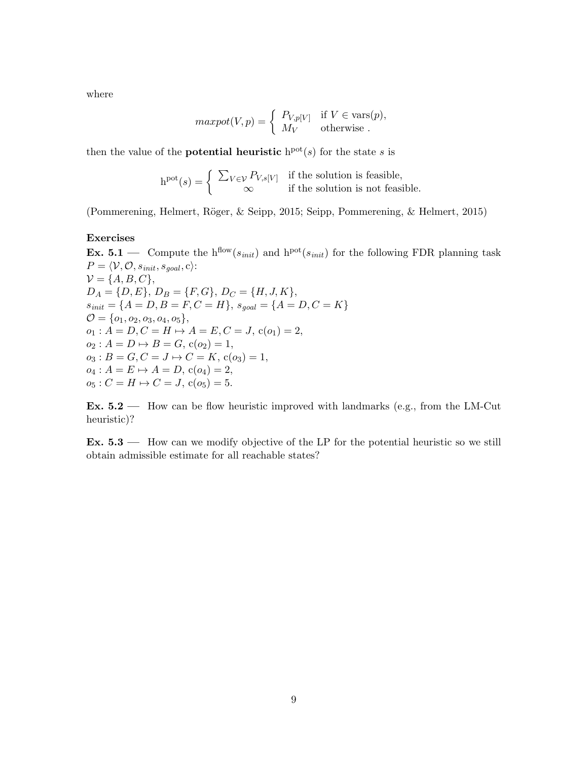where

$$
maxpot(V, p) = \begin{cases} P_{V, p[V]} & \text{if } V \in \text{vars}(p), \\ M_V & \text{otherwise} \end{cases}
$$

then the value of the **potential heuristic**  $h^{pot}(s)$  for the state s is

$$
h^{pot}(s) = \begin{cases} \sum_{V \in \mathcal{V}} P_{V,s[V]} & \text{if the solution is feasible,} \\ \infty & \text{if the solution is not feasible.} \end{cases}
$$

(Pommerening, Helmert, R¨oger, & Seipp, 2015; Seipp, Pommerening, & Helmert, 2015)

## Exercises

**Ex. 5.1** — Compute the h<sup>flow</sup>( $s_{init}$ ) and h<sup>pot</sup>( $s_{init}$ ) for the following FDR planning task  $P = \langle V, O, s_{init}, s_{goal}, c \rangle$ :  $\mathcal{V} = \{A, B, C\},\$  $D_A = \{D, E\}, D_B = \{F, G\}, D_C = \{H, J, K\},$  $s_{init} = \{A = D, B = F, C = H\}, s_{goal} = \{A = D, C = K\}$  $\mathcal{O} = \{o_1, o_2, o_3, o_4, o_5\},\$  $o_1: A = D, C = H \mapsto A = E, C = J, c(o_1) = 2,$  $o_2 : A = D \mapsto B = G$ ,  $c(o_2) = 1$ ,  $o_3 : B = G, C = J \mapsto C = K, c(o_3) = 1,$  $o_4: A = E \mapsto A = D, c(o_4) = 2,$  $o_5: C = H \mapsto C = J$ ,  $c(o_5) = 5$ .

Ex.  $5.2$  — How can be flow heuristic improved with landmarks (e.g., from the LM-Cut heuristic)?

Ex. 5.3 — How can we modify objective of the LP for the potential heuristic so we still obtain admissible estimate for all reachable states?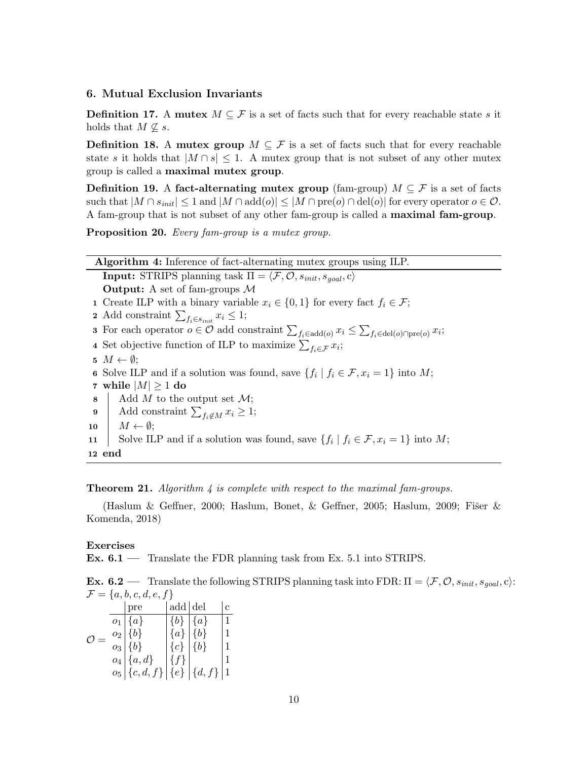# 6. Mutual Exclusion Invariants

**Definition 17.** A mutex  $M \subseteq \mathcal{F}$  is a set of facts such that for every reachable state s it holds that  $M \nsubseteq s$ .

**Definition 18.** A mutex group  $M \subseteq \mathcal{F}$  is a set of facts such that for every reachable state s it holds that  $|M \cap s| \leq 1$ . A mutex group that is not subset of any other mutex group is called a maximal mutex group.

**Definition 19.** A fact-alternating mutex group (fam-group)  $M \subseteq \mathcal{F}$  is a set of facts such that  $|M \cap s_{init}| \leq 1$  and  $|M \cap add(o)| \leq |M \cap pre(o) \cap del(o)|$  for every operator  $o \in \mathcal{O}$ . A fam-group that is not subset of any other fam-group is called a maximal fam-group.

Proposition 20. Every fam-group is a mutex group.

| <b>Algorithm 4:</b> Inference of fact-alternating mutex groups using ILP.                                                                                   |
|-------------------------------------------------------------------------------------------------------------------------------------------------------------|
| <b>Input:</b> STRIPS planning task $\Pi = \langle \mathcal{F}, \mathcal{O}, s_{init}, s_{goal}, c \rangle$                                                  |
| <b>Output:</b> A set of fam-groups $M$                                                                                                                      |
| 1 Create ILP with a binary variable $x_i \in \{0,1\}$ for every fact $f_i \in \mathcal{F}$ ;                                                                |
| 2 Add constraint $\sum_{f_i \in s_{init}} x_i \leq 1;$                                                                                                      |
| <b>3</b> For each operator $o \in \mathcal{O}$ add constraint $\sum_{f_i \in \text{add}(o)} x_i \leq \sum_{f_i \in \text{del}(o) \cap \text{pre}(o)} x_i$ ; |
| 4 Set objective function of ILP to maximize $\sum_{f_i \in \mathcal{F}} x_i$ ;                                                                              |
| 5 $M \leftarrow \emptyset$ ;                                                                                                                                |
| 6 Solve ILP and if a solution was found, save $\{f_i \mid f_i \in \mathcal{F}, x_i = 1\}$ into M;                                                           |
| 7 while $ M  \ge 1$ do                                                                                                                                      |
| Add M to the output set $\mathcal{M}$ ;<br>8                                                                                                                |
| Add constraint $\sum_{f_i \notin M} x_i \geq 1$ ;<br>$\boldsymbol{9}$                                                                                       |
| $M \leftarrow \emptyset;$<br>10                                                                                                                             |
| Solve ILP and if a solution was found, save $\{f_i \mid f_i \in \mathcal{F}, x_i = 1\}$ into M;<br>11                                                       |
| 12 end                                                                                                                                                      |

#### **Theorem 21.** Algorithm  $\downarrow$  is complete with respect to the maximal fam-groups.

(Haslum & Geffner, 2000; Haslum, Bonet, & Geffner, 2005; Haslum, 2009; Fišer & Komenda, 2018)

#### Exercises

Ex. 6.1 — Translate the FDR planning task from Ex. 5.1 into STRIPS.

**Ex. 6.2** — Translate the following STRIPS planning task into FDR:  $\Pi = \langle F, O, s_{init}, s_{goal}, c \rangle$ :  $\mathcal{F} = \{a, b, c, d, e, f\}$ 

|  |                  | pre                                 | add   del |                    | Ċ            |
|--|------------------|-------------------------------------|-----------|--------------------|--------------|
|  |                  | $o_1   \{a\}$                       | $\{b\}$   | $\{a\}$            | 1            |
|  | $\overline{O_2}$ | ${b}$                               | $\{a\}$   | $\left\{b\right\}$ | 1            |
|  |                  | $o_3   \{b\}$                       | ${c}$     | $\vert \{b\}$      | 1            |
|  |                  | $o_4   \{a, d\}$                    | $\{f\}$   |                    |              |
|  |                  | $o_5   \{c,d,f\}   \{e\}   \{d,f\}$ |           |                    | $\mathbf{1}$ |